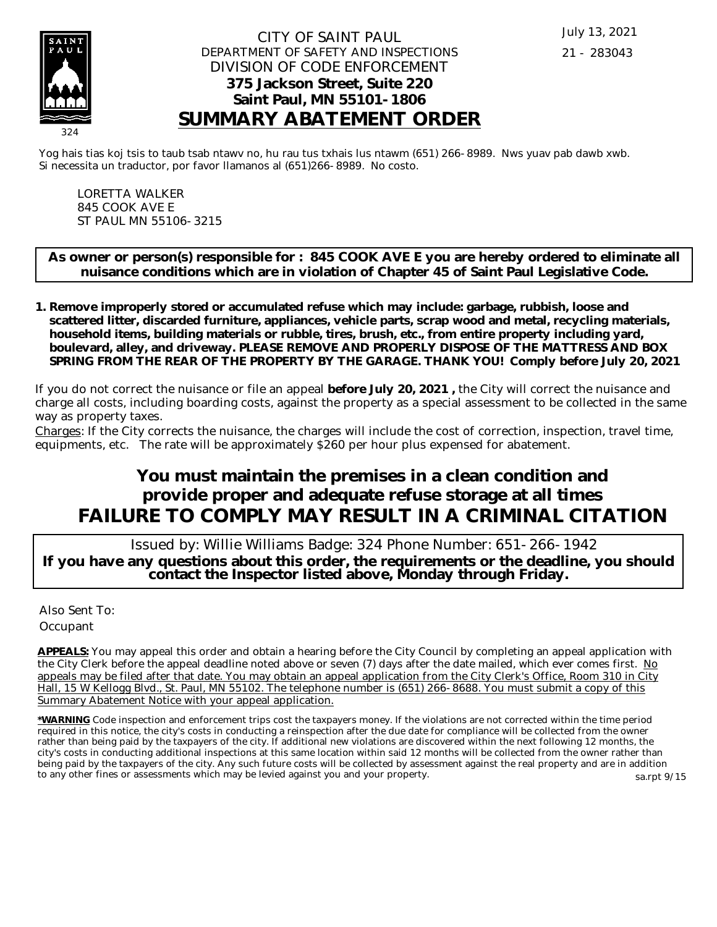

## CITY OF SAINT PAUL DEPARTMENT OF SAFETY AND INSPECTIONS DIVISION OF CODE ENFORCEMENT **375 Jackson Street, Suite 220 Saint Paul, MN 55101-1806 SUMMARY ABATEMENT ORDER**

Yog hais tias koj tsis to taub tsab ntawv no, hu rau tus txhais lus ntawm (651) 266-8989. Nws yuav pab dawb xwb. Si necessita un traductor, por favor llamanos al (651)266-8989. No costo.

LORETTA WALKER 845 COOK AVE E ST PAUL MN 55106-3215

**As owner or person(s) responsible for : 845 COOK AVE E you are hereby ordered to eliminate all nuisance conditions which are in violation of Chapter 45 of Saint Paul Legislative Code.**

**Remove improperly stored or accumulated refuse which may include: garbage, rubbish, loose and 1. scattered litter, discarded furniture, appliances, vehicle parts, scrap wood and metal, recycling materials, household items, building materials or rubble, tires, brush, etc., from entire property including yard, boulevard, alley, and driveway. PLEASE REMOVE AND PROPERLY DISPOSE OF THE MATTRESS AND BOX SPRING FROM THE REAR OF THE PROPERTY BY THE GARAGE. THANK YOU! Comply before July 20, 2021**

If you do not correct the nuisance or file an appeal **before July 20, 2021 ,** the City will correct the nuisance and charge all costs, including boarding costs, against the property as a special assessment to be collected in the same way as property taxes.

Charges: If the City corrects the nuisance, the charges will include the cost of correction, inspection, travel time, equipments, etc. The rate will be approximately \$260 per hour plus expensed for abatement.

## **You must maintain the premises in a clean condition and provide proper and adequate refuse storage at all times FAILURE TO COMPLY MAY RESULT IN A CRIMINAL CITATION**

 Issued by: Willie Williams Badge: 324 Phone Number: 651-266-1942 **If you have any questions about this order, the requirements or the deadline, you should contact the Inspector listed above, Monday through Friday.**

Also Sent To: **Occupant** 

**APPEALS:** You may appeal this order and obtain a hearing before the City Council by completing an appeal application with the City Clerk before the appeal deadline noted above or seven (7) days after the date mailed, which ever comes first. No appeals may be filed after that date. You may obtain an appeal application from the City Clerk's Office, Room 310 in City Hall, 15 W Kellogg Blvd., St. Paul, MN 55102. The telephone number is (651) 266-8688. You must submit a copy of this Summary Abatement Notice with your appeal application.

**\*WARNING** Code inspection and enforcement trips cost the taxpayers money. If the violations are not corrected within the time period required in this notice, the city's costs in conducting a reinspection after the due date for compliance will be collected from the owner rather than being paid by the taxpayers of the city. If additional new violations are discovered within the next following 12 months, the city's costs in conducting additional inspections at this same location within said 12 months will be collected from the owner rather than being paid by the taxpayers of the city. Any such future costs will be collected by assessment against the real property and are in addition to any other fines or assessments which may be levied against you and your property. sa.rpt 9/15